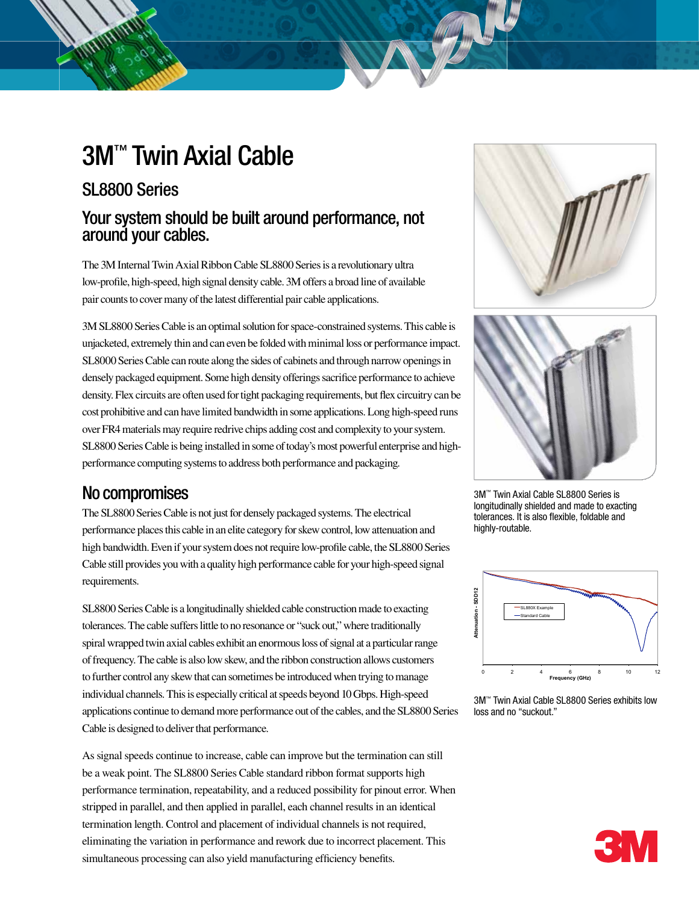# 3M™ Twin Axial Cable

### SL8800 Series

### Your system should be built around performance, not around your cables.

The 3M Internal Twin Axial Ribbon Cable SL8800 Series is a revolutionary ultra low-profile, high-speed, high signal density cable. 3M offers a broad line of available pair counts to cover many of the latest differential pair cable applications.

3M SL8800 Series Cable is an optimal solution for space-constrained systems. This cable is unjacketed, extremely thin and can even be folded with minimal loss or performance impact. SL8000 Series Cable can route along the sides of cabinets and through narrow openings in densely packaged equipment. Some high density offerings sacrifice performance to achieve density. Flex circuits are often used for tight packaging requirements, but flex circuitry can be cost prohibitive and can have limited bandwidth in some applications. Long high-speed runs over FR4 materials may require redrive chips adding cost and complexity to your system. SL8800 Series Cable is being installed in some of today's most powerful enterprise and highperformance computing systems to address both performance and packaging.

## No compromises

The SL8800 Series Cable is not just for densely packaged systems. The electrical performance places this cable in an elite category for skew control, low attenuation and high bandwidth. Even if your system does not require low-profile cable, the SL8800 Series Cable still provides you with a quality high performance cable for your high-speed signal requirements.

SL8800 Series Cable is a longitudinally shielded cable construction made to exacting tolerances. The cable suffers little to no resonance or "suck out," where traditionally spiral wrapped twin axial cables exhibit an enormous loss of signal at a particular range of frequency. The cable is also low skew, and the ribbon construction allows customers to further control any skew that can sometimes be introduced when trying to manage individual channels. This is especially critical at speeds beyond 10 Gbps. High-speed applications continue to demand more performance out of the cables, and the SL8800 Series Cable is designed to deliver that performance.

As signal speeds continue to increase, cable can improve but the termination can still be a weak point. The SL8800 Series Cable standard ribbon format supports high performance termination, repeatability, and a reduced possibility for pinout error. When stripped in parallel, and then applied in parallel, each channel results in an identical termination length. Control and placement of individual channels is not required, eliminating the variation in performance and rework due to incorrect placement. This simultaneous processing can also yield manufacturing efficiency benefits.





3M™ Twin Axial Cable SL8800 Series is longitudinally shielded and made to exacting tolerances. It is also flexible, foldable and highly-routable.



3M™ Twin Axial Cable SL8800 Series exhibits low loss and no "suckout."

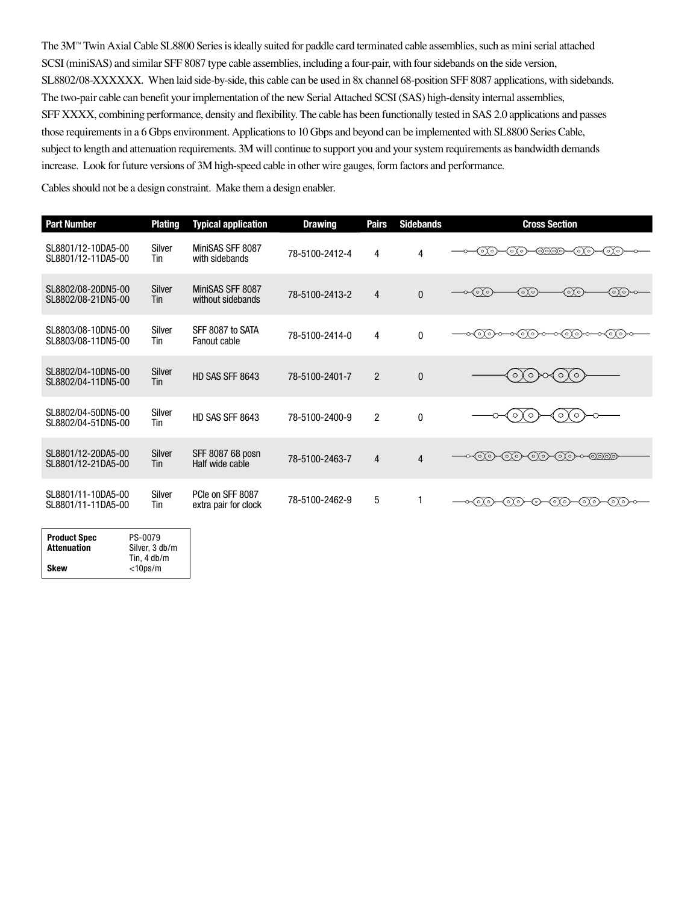The 3M™ Twin Axial Cable SL8800 Series is ideally suited for paddle card terminated cable assemblies, such as mini serial attached SCSI (miniSAS) and similar SFF 8087 type cable assemblies, including a four-pair, with four sidebands on the side version, SL8802/08-XXXXXX. When laid side-by-side, this cable can be used in 8x channel 68-position SFF 8087 applications, with sidebands. The two-pair cable can benefit your implementation of the new Serial Attached SCSI (SAS) high-density internal assemblies, SFF XXXX, combining performance, density and flexibility. The cable has been functionally tested in SAS 2.0 applications and passes those requirements in a 6 Gbps environment. Applications to 10 Gbps and beyond can be implemented with SL8800 Series Cable, subject to length and attenuation requirements. 3M will continue to support you and your system requirements as bandwidth demands increase. Look for future versions of 3M high-speed cable in other wire gauges, form factors and performance.

Cables should not be a design constraint. Make them a design enabler.

| <b>Part Number</b>                       | <b>Plating</b>       | <b>Typical application</b>               | <b>Drawing</b> | <b>Pairs</b>   | <b>Sidebands</b> | <b>Cross Section</b>                         |
|------------------------------------------|----------------------|------------------------------------------|----------------|----------------|------------------|----------------------------------------------|
| SL8801/12-10DA5-00<br>SL8801/12-11DA5-00 | Silver<br>Tin        | MiniSAS SFF 8087<br>with sidebands       | 78-5100-2412-4 | 4              | 4                | ೧೧<br>೧೧<br>೧೧<br>෨෨෧<br>≺⊙∖∘)               |
| SL8802/08-20DN5-00<br>SL8802/08-21DN5-00 | Silver<br>Tin        | MiniSAS SFF 8087<br>without sidebands    | 78-5100-2413-2 | 4              | $\mathbf{0}$     | ⊙⊙<br>⊙⊙<br><⊙⊙<br>⊙⊗                        |
| SL8803/08-10DN5-00<br>SL8803/08-11DN5-00 | Silver<br>Tin        | SFF 8087 to SATA<br>Fanout cable         | 78-5100-2414-0 | 4              | 0                | ᠊ᢦᠢᡋᢙᢁ᠆ᢁᡕᡚᡋ <del>ᢁ</del><br>⊸<െ)ം—<br>⊸<െ(്റ |
| SL8802/04-10DN5-00<br>SL8802/04-11DN5-00 | <b>Silver</b><br>Tin | HD SAS SFF 8643                          | 78-5100-2401-7 | $\overline{2}$ | $\mathbf{0}$     | (○ )∽∢○ )<br>$\circ$ )<br>( ○ )              |
| SL8802/04-50DN5-00<br>SL8802/04-51DN5-00 | Silver<br>Tin        | HD SAS SFF 8643                          | 78-5100-2400-9 | 2              | 0                | $\circ$<br>$\circ$<br>$\circ$<br>$\circ$     |
| SL8801/12-20DA5-00<br>SL8801/12-21DA5-00 | Silver<br>Tin        | SFF 8087 68 posn<br>Half wide cable      | 78-5100-2463-7 | $\overline{4}$ | 4                | ∙⊙⊙<br>-⊙⊙≻<br>⊚⊙<br>≺∩∩→∼−@@@               |
| SL8801/11-10DA5-00<br>SL8801/11-11DA5-00 | Silver<br>Tin        | PCIe on SFF 8087<br>extra pair for clock | 78-5100-2462-9 | 5              |                  | ⊙⊙≻<br>∢⊙∖⊙<br>⊸∢⊙⊙<br>∢∩⊙<br>∢৹γ৹`<br>⊙≻    |
| <b>DO 0070</b>                           |                      |                                          |                |                |                  |                                              |

| <b>Product Spec</b> | PS-0079               |  |  |
|---------------------|-----------------------|--|--|
| <b>Attenuation</b>  | Silver, 3 db/m        |  |  |
|                     | Tin. $4 \text{ db/m}$ |  |  |
| Skew                | $<$ 10ps/m            |  |  |